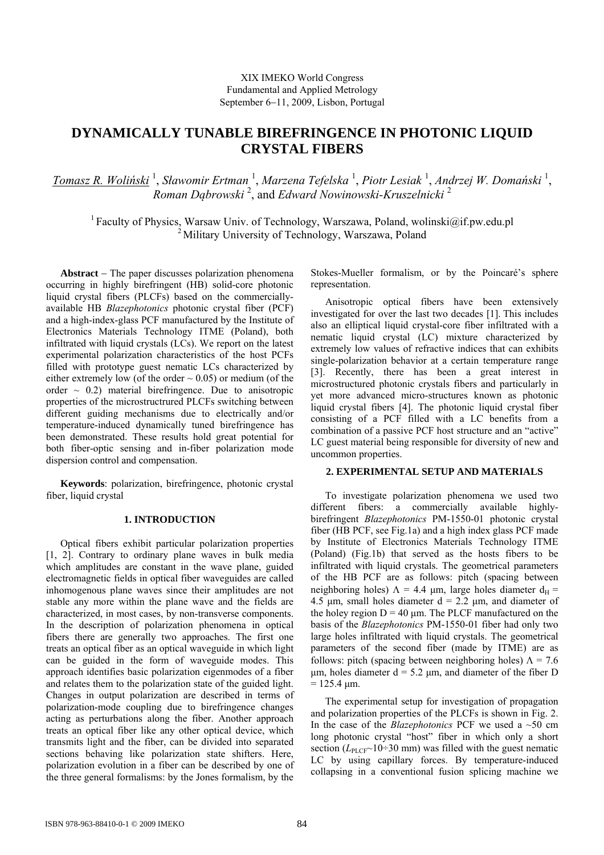# **DYNAMICALLY TUNABLE BIREFRINGENCE IN PHOTONIC LIQUID CRYSTAL FIBERS**

*Tomasz R. Woliński* <sup>1</sup> , *Sławomir Ertman* <sup>1</sup> , *Marzena Tefelska* <sup>1</sup> , *Piotr Lesiak* <sup>1</sup> , *Andrzej W. Domański* <sup>1</sup> , *Roman Dąbrowski* <sup>2</sup> , and *Edward Nowinowski-Kruszelnicki* <sup>2</sup>

<sup>1</sup> Faculty of Physics, Warsaw Univ. of Technology, Warszawa, Poland, wolinski@if.pw.edu.pl <sup>2</sup> Military University of Technology, Warszawa, Poland

**Abstract** − The paper discusses polarization phenomena occurring in highly birefringent (HB) solid-core photonic liquid crystal fibers (PLCFs) based on the commerciallyavailable HB *Blazephotonics* photonic crystal fiber (PCF) and a high-index-glass PCF manufactured by the Institute of Electronics Materials Technology ITME (Poland), both infiltrated with liquid crystals (LCs). We report on the latest experimental polarization characteristics of the host PCFs filled with prototype guest nematic LCs characterized by either extremely low (of the order  $\sim 0.05$ ) or medium (of the order  $\sim$  0.2) material birefringence. Due to anisotropic properties of the microstructrured PLCFs switching between different guiding mechanisms due to electrically and/or temperature-induced dynamically tuned birefringence has been demonstrated. These results hold great potential for both fiber-optic sensing and in-fiber polarization mode dispersion control and compensation.

**Keywords**: polarization, birefringence, photonic crystal fiber, liquid crystal

### **1. INTRODUCTION**

Optical fibers exhibit particular polarization properties [1, 2]. Contrary to ordinary plane waves in bulk media which amplitudes are constant in the wave plane, guided electromagnetic fields in optical fiber waveguides are called inhomogenous plane waves since their amplitudes are not stable any more within the plane wave and the fields are characterized, in most cases, by non-transverse components. In the description of polarization phenomena in optical fibers there are generally two approaches. The first one treats an optical fiber as an optical waveguide in which light can be guided in the form of waveguide modes. This approach identifies basic polarization eigenmodes of a fiber and relates them to the polarization state of the guided light. Changes in output polarization are described in terms of polarization-mode coupling due to birefringence changes acting as perturbations along the fiber. Another approach treats an optical fiber like any other optical device, which transmits light and the fiber, can be divided into separated sections behaving like polarization state shifters. Here, polarization evolution in a fiber can be described by one of the three general formalisms: by the Jones formalism, by the

Stokes-Mueller formalism, or by the Poincaré's sphere representation.

Anisotropic optical fibers have been extensively investigated for over the last two decades [1]. This includes also an elliptical liquid crystal-core fiber infiltrated with a nematic liquid crystal (LC) mixture characterized by extremely low values of refractive indices that can exhibits single-polarization behavior at a certain temperature range [3]. Recently, there has been a great interest in microstructured photonic crystals fibers and particularly in yet more advanced micro-structures known as photonic liquid crystal fibers [4]. The photonic liquid crystal fiber consisting of a PCF filled with a LC benefits from a combination of a passive PCF host structure and an "active" LC guest material being responsible for diversity of new and uncommon properties.

## **2. EXPERIMENTAL SETUP AND MATERIALS**

To investigate polarization phenomena we used two different fibers: a commercially available highlybirefringent *Blazephotonics* PM-1550-01 photonic crystal fiber (HB PCF, see Fig.1a) and a high index glass PCF made by Institute of Electronics Materials Technology ITME (Poland) (Fig.1b) that served as the hosts fibers to be infiltrated with liquid crystals. The geometrical parameters of the HB PCF are as follows: pitch (spacing between neighboring holes)  $Λ = 4.4 \mu m$ , large holes diameter  $d<sub>H</sub>$  = 4.5 μm, small holes diameter  $d = 2.2$  μm, and diameter of the holey region  $D = 40 \mu m$ . The PLCF manufactured on the basis of the *Blazephotonics* PM-1550-01 fiber had only two large holes infiltrated with liquid crystals. The geometrical parameters of the second fiber (made by ITME) are as follows: pitch (spacing between neighboring holes)  $\Lambda = 7.6$ μm, holes diameter  $d = 5.2$  μm, and diameter of the fiber D  $= 125.4 \text{ µm}.$ 

The experimental setup for investigation of propagation and polarization properties of the PLCFs is shown in Fig. 2. In the case of the *Blazephotonics* PCF we used a ~50 cm long photonic crystal "host" fiber in which only a short section  $(L_{\text{PLCF}} \sim 10 \div 30 \text{ mm})$  was filled with the guest nematic LC by using capillary forces. By temperature-induced collapsing in a conventional fusion splicing machine we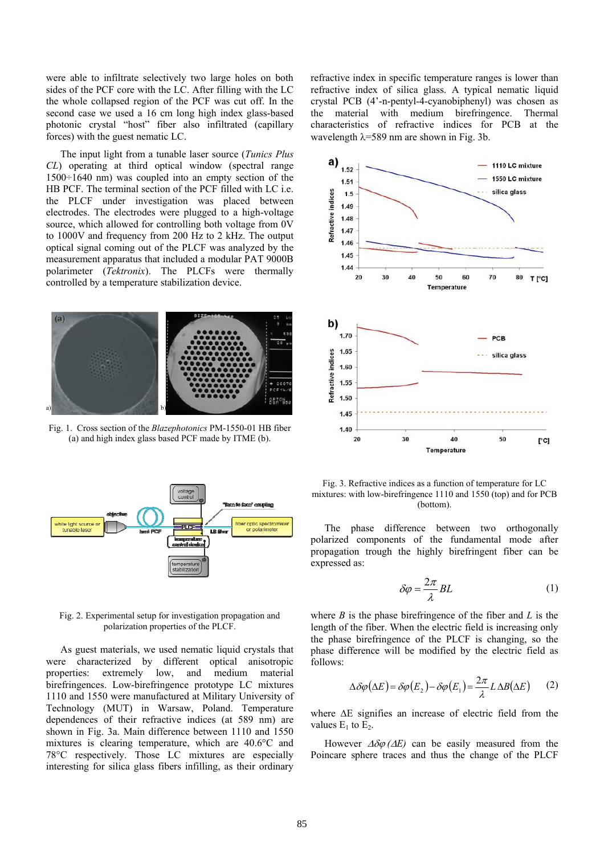were able to infiltrate selectively two large holes on both sides of the PCF core with the LC. After filling with the LC the whole collapsed region of the PCF was cut off. In the second case we used a 16 cm long high index glass-based photonic crystal "host" fiber also infiltrated (capillary forces) with the guest nematic LC.

The input light from a tunable laser source (*Tunics Plus CL*) operating at third optical window (spectral range 1500÷1640 nm) was coupled into an empty section of the HB PCF. The terminal section of the PCF filled with LC i.e. the PLCF under investigation was placed between electrodes. The electrodes were plugged to a high-voltage source, which allowed for controlling both voltage from 0V to 1000V and frequency from 200 Hz to 2 kHz. The output optical signal coming out of the PLCF was analyzed by the measurement apparatus that included a modular PAT 9000B polarimeter (*Tektronix*). The PLCFs were thermally controlled by a temperature stabilization device.



Fig. 1. Cross section of the *Blazephotonics* PM-1550-01 HB fiber (a) and high index glass based PCF made by ITME (b).



Fig. 2. Experimental setup for investigation propagation and polarization properties of the PLCF.

As guest materials, we used nematic liquid crystals that were characterized by different optical anisotropic properties: extremely low, and medium material birefringences. Low-birefringence prototype LC mixtures 1110 and 1550 were manufactured at Military University of Technology (MUT) in Warsaw, Poland. Temperature dependences of their refractive indices (at 589 nm) are shown in Fig. 3a. Main difference between 1110 and 1550 mixtures is clearing temperature, which are 40.6°C and 78°C respectively. Those LC mixtures are especially interesting for silica glass fibers infilling, as their ordinary refractive index in specific temperature ranges is lower than refractive index of silica glass. A typical nematic liquid crystal PCB (4'-n-pentyl-4-cyanobiphenyl) was chosen as the material with medium birefringence. Thermal characteristics of refractive indices for PCB at the wavelength  $\lambda$ =589 nm are shown in Fig. 3b.



Fig. 3. Refractive indices as a function of temperature for LC mixtures: with low-birefringence 1110 and 1550 (top) and for PCB (bottom).

The phase difference between two orthogonally polarized components of the fundamental mode after propagation trough the highly birefringent fiber can be expressed as:

$$
\delta \varphi = \frac{2\pi}{\lambda} BL \tag{1}
$$

where *B* is the phase birefringence of the fiber and *L* is the length of the fiber. When the electric field is increasing only the phase birefringence of the PLCF is changing, so the phase difference will be modified by the electric field as follows:

$$
\Delta \delta \varphi (\Delta E) = \delta \varphi (E_2) - \delta \varphi (E_1) = \frac{2\pi}{\lambda} L \Delta B (\Delta E) \qquad (2)
$$

where ΔE signifies an increase of electric field from the values  $E_1$  to  $E_2$ .

However  $\Delta \delta \varphi$  ( $\Delta E$ ) can be easily measured from the Poincare sphere traces and thus the change of the PLCF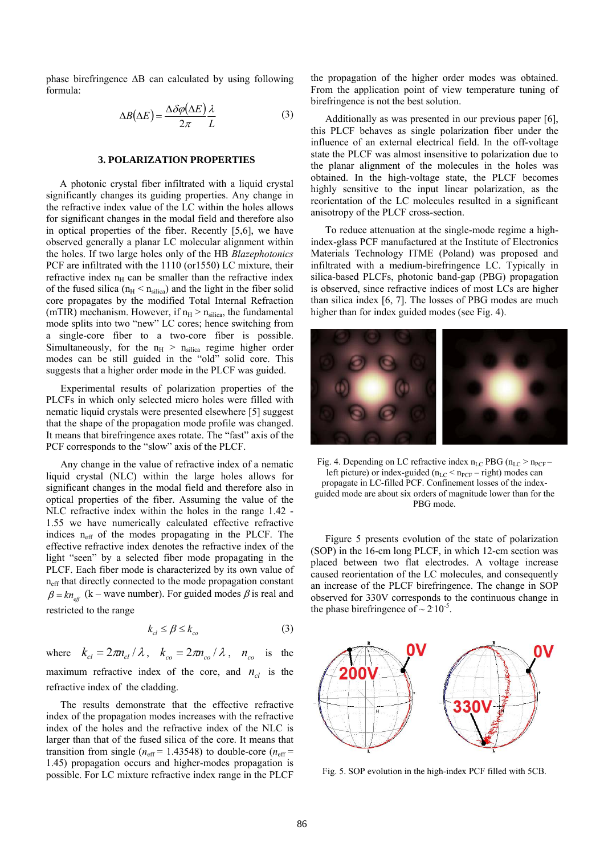phase birefringence ΔB can calculated by using following formula:

$$
\Delta B(\Delta E) = \frac{\Delta \delta \varphi(\Delta E)}{2\pi} \frac{\lambda}{L}
$$
 (3)

#### **3. POLARIZATION PROPERTIES**

A photonic crystal fiber infiltrated with a liquid crystal significantly changes its guiding properties. Any change in the refractive index value of the LC within the holes allows for significant changes in the modal field and therefore also in optical properties of the fiber. Recently [5,6], we have observed generally a planar LC molecular alignment within the holes. If two large holes only of the HB *Blazephotonics*  PCF are infiltrated with the 1110 (or1550) LC mixture, their refractive index  $n_H$  can be smaller than the refractive index of the fused silica ( $n_H < n_{silica}$ ) and the light in the fiber solid core propagates by the modified Total Internal Refraction (mTIR) mechanism. However, if  $n_H > n_{silica}$ , the fundamental mode splits into two "new" LC cores; hence switching from a single-core fiber to a two-core fiber is possible. Simultaneously, for the  $n_H > n_{silica}$  regime higher order modes can be still guided in the "old" solid core. This suggests that a higher order mode in the PLCF was guided.

Experimental results of polarization properties of the PLCFs in which only selected micro holes were filled with nematic liquid crystals were presented elsewhere [5] suggest that the shape of the propagation mode profile was changed. It means that birefringence axes rotate. The "fast" axis of the PCF corresponds to the "slow" axis of the PLCF.

Any change in the value of refractive index of a nematic liquid crystal (NLC) within the large holes allows for significant changes in the modal field and therefore also in optical properties of the fiber. Assuming the value of the NLC refractive index within the holes in the range 1.42 - 1.55 we have numerically calculated effective refractive indices  $n_{\text{eff}}$  of the modes propagating in the PLCF. The effective refractive index denotes the refractive index of the light "seen" by a selected fiber mode propagating in the PLCF. Each fiber mode is characterized by its own value of n<sub>eff</sub> that directly connected to the mode propagation constant  $\beta = kn_{\text{eff}}$  (k – wave number). For guided modes  $\beta$  is real and restricted to the range

$$
k_{cl} \le \beta \le k_{co} \tag{3}
$$

where  $k_{cl} = 2\pi n_{cl} / \lambda$ ,  $k_{co} = 2\pi n_{co} / \lambda$ ,  $n_{co}$  is the maximum refractive index of the core, and  $n_{cl}$  is the refractive index of the cladding.

The results demonstrate that the effective refractive index of the propagation modes increases with the refractive index of the holes and the refractive index of the NLC is larger than that of the fused silica of the core. It means that transition from single ( $n_{\text{eff}}$  = 1.43548) to double-core ( $n_{\text{eff}}$  = 1.45) propagation occurs and higher-modes propagation is possible. For LC mixture refractive index range in the PLCF

the propagation of the higher order modes was obtained. From the application point of view temperature tuning of birefringence is not the best solution.

Additionally as was presented in our previous paper [6], this PLCF behaves as single polarization fiber under the influence of an external electrical field. In the off-voltage state the PLCF was almost insensitive to polarization due to the planar alignment of the molecules in the holes was obtained. In the high-voltage state, the PLCF becomes highly sensitive to the input linear polarization, as the reorientation of the LC molecules resulted in a significant anisotropy of the PLCF cross-section.

To reduce attenuation at the single-mode regime a highindex-glass PCF manufactured at the Institute of Electronics Materials Technology ITME (Poland) was proposed and infiltrated with a medium-birefringence LC. Typically in silica-based PLCFs, photonic band-gap (PBG) propagation is observed, since refractive indices of most LCs are higher than silica index [6, 7]. The losses of PBG modes are much higher than for index guided modes (see Fig. 4).



Fig. 4. Depending on LC refractive index  $n_{LC}$  PBG ( $n_{LC}$  >  $n_{PCF}$  – left picture) or index-guided ( $n_{LC}$  <  $n_{PCF}$  – right) modes can propagate in LC-filled PCF. Confinement losses of the indexguided mode are about six orders of magnitude lower than for the PBG mode.

Figure 5 presents evolution of the state of polarization (SOP) in the 16-cm long PLCF, in which 12-cm section was placed between two flat electrodes. A voltage increase caused reorientation of the LC molecules, and consequently an increase of the PLCF birefringence. The change in SOP observed for 330V corresponds to the continuous change in the phase birefringence of  $\sim 2.10^{-5}$ .



Fig. 5. SOP evolution in the high-index PCF filled with 5CB.